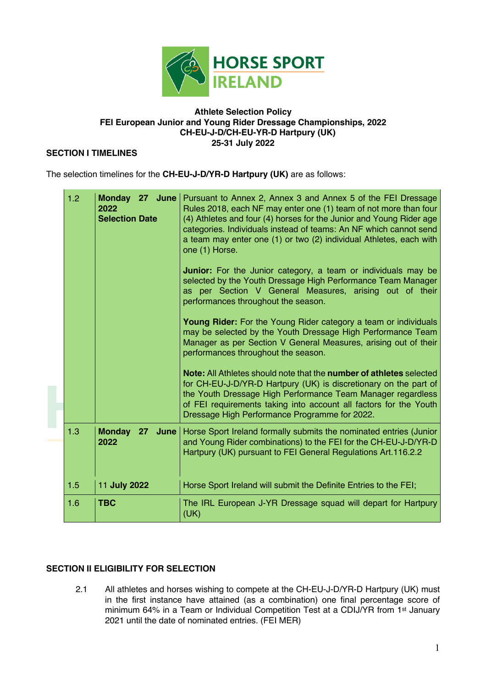

### **Athlete Selection Policy FEI European Junior and Young Rider Dressage Championships, 2022 CH-EU-J-D/CH-EU-YR-D Hartpury (UK) 25-31 July 2022**

## **SECTION I TIMELINES**

The selection timelines for the **CH-EU-J-D/YR-D Hartpury (UK)** are as follows:

| 1.2 | 2022<br><b>Selection Date</b>            | <b>Monday 27 June</b>   Pursuant to Annex 2, Annex 3 and Annex 5 of the FEI Dressage<br>Rules 2018, each NF may enter one (1) team of not more than four<br>(4) Athletes and four (4) horses for the Junior and Young Rider age<br>categories. Individuals instead of teams: An NF which cannot send<br>a team may enter one (1) or two (2) individual Athletes, each with<br>one (1) Horse.<br><b>Junior:</b> For the Junior category, a team or individuals may be<br>selected by the Youth Dressage High Performance Team Manager<br>as per Section V General Measures, arising out of their<br>performances throughout the season.<br><b>Young Rider:</b> For the Young Rider category a team or individuals<br>may be selected by the Youth Dressage High Performance Team<br>Manager as per Section V General Measures, arising out of their<br>performances throughout the season.<br><b>Note:</b> All Athletes should note that the <b>number of athletes</b> selected<br>for CH-EU-J-D/YR-D Hartpury (UK) is discretionary on the part of<br>the Youth Dressage High Performance Team Manager regardless<br>of FEI requirements taking into account all factors for the Youth |
|-----|------------------------------------------|----------------------------------------------------------------------------------------------------------------------------------------------------------------------------------------------------------------------------------------------------------------------------------------------------------------------------------------------------------------------------------------------------------------------------------------------------------------------------------------------------------------------------------------------------------------------------------------------------------------------------------------------------------------------------------------------------------------------------------------------------------------------------------------------------------------------------------------------------------------------------------------------------------------------------------------------------------------------------------------------------------------------------------------------------------------------------------------------------------------------------------------------------------------------------------------|
|     |                                          | Dressage High Performance Programme for 2022.                                                                                                                                                                                                                                                                                                                                                                                                                                                                                                                                                                                                                                                                                                                                                                                                                                                                                                                                                                                                                                                                                                                                          |
| 1.3 | <b>Monday</b><br>27 <sub>2</sub><br>2022 | <b>June</b>   Horse Sport Ireland formally submits the nominated entries (Junior<br>and Young Rider combinations) to the FEI for the CH-EU-J-D/YR-D<br>Hartpury (UK) pursuant to FEI General Regulations Art.116.2.2                                                                                                                                                                                                                                                                                                                                                                                                                                                                                                                                                                                                                                                                                                                                                                                                                                                                                                                                                                   |
| 1.5 | 11 July 2022                             | Horse Sport Ireland will submit the Definite Entries to the FEI;                                                                                                                                                                                                                                                                                                                                                                                                                                                                                                                                                                                                                                                                                                                                                                                                                                                                                                                                                                                                                                                                                                                       |
| 1.6 | <b>TBC</b>                               | The IRL European J-YR Dressage squad will depart for Hartpury<br>(UK)                                                                                                                                                                                                                                                                                                                                                                                                                                                                                                                                                                                                                                                                                                                                                                                                                                                                                                                                                                                                                                                                                                                  |

# **SECTION II ELIGIBILITY FOR SELECTION**

2.1 All athletes and horses wishing to compete at the CH-EU-J-D/YR-D Hartpury (UK) must in the first instance have attained (as a combination) one final percentage score of minimum 64% in a Team or Individual Competition Test at a CDIJ/YR from 1st January 2021 until the date of nominated entries. (FEI MER)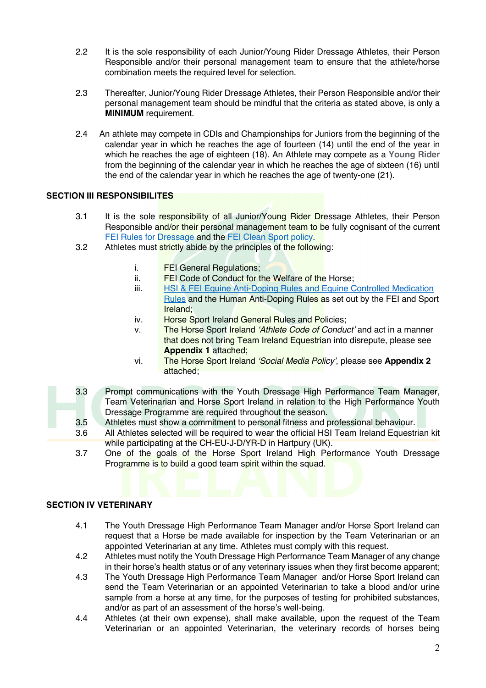- 2.2 It is the sole responsibility of each Junior/Young Rider Dressage Athletes, their Person Responsible and/or their personal management team to ensure that the athlete/horse combination meets the required level for selection.
- 2.3 Thereafter, Junior/Young Rider Dressage Athletes, their Person Responsible and/or their personal management team should be mindful that the criteria as stated above, is only a **MINIMUM** requirement.
- 2.4 An athlete may compete in CDIs and Championships for Juniors from the beginning of the calendar year in which he reaches the age of fourteen (14) until the end of the year in which he reaches the age of eighteen (18). An Athlete may compete as a **Young Rider** from the beginning of the calendar year in which he reaches the age of sixteen (16) until the end of the calendar year in which he reaches the age of twenty-one (21).

# **SECTION III RESPONSIBILITES**

- 3.1 It is the sole responsibility of all Junior/Young Rider Dressage Athletes, their Person Responsible and/or their personal management team to be fully cognisant of the current FEI Rules for Dressage and the FEI Clean Sport policy.
- 3.2 Athletes must strictly abide by the principles of the following:
	- i. FEI General Regulations;
	- ii. FEI Code of Conduct for the Welfare of the Horse;
	- iii. HSI & FEI Equine Anti-Doping Rules and Equine Controlled Medication Rules and the Human Anti-Doping Rules as set out by the FEI and Sport Ireland;
	- iv. Horse Sport Ireland General Rules and Policies;
	- v. The Horse Sport Ireland *'Athlete Code of Conduct'* and act in a manner that does not bring Team Ireland Equestrian into disrepute, please see **Appendix 1** attached;
	- vi. The Horse Sport Ireland *'Social Media Policy'*, please see **Appendix 2** attached;
- 3.3 Prompt communications with the Youth Dressage High Performance Team Manager, Team Veterinarian and Horse Sport Ireland in relation to the High Performance Youth Dressage Programme are required throughout the season.
	- 3.5 Athletes must show a commitment to personal fitness and professional behaviour.
	- 3.6 All Athletes selected will be required to wear the official HSI Team Ireland Equestrian kit while participating at the CH-EU-J-D/YR-D in Hartpury (UK).
	- 3.7 One of the goals of the Horse Sport Ireland High Performance Youth Dressage Programme is to build a good team spirit within the squad.

# **SECTION IV VETERINARY**

- 4.1 The Youth Dressage High Performance Team Manager and/or Horse Sport Ireland can request that a Horse be made available for inspection by the Team Veterinarian or an appointed Veterinarian at any time. Athletes must comply with this request.
- 4.2 Athletes must notify the Youth Dressage High Performance Team Manager of any change in their horse's health status or of any veterinary issues when they first become apparent;
- 4.3 The Youth Dressage High Performance Team Manager and/or Horse Sport Ireland can send the Team Veterinarian or an appointed Veterinarian to take a blood and/or urine sample from a horse at any time, for the purposes of testing for prohibited substances, and/or as part of an assessment of the horse's well-being.
- 4.4 Athletes (at their own expense), shall make available, upon the request of the Team Veterinarian or an appointed Veterinarian, the veterinary records of horses being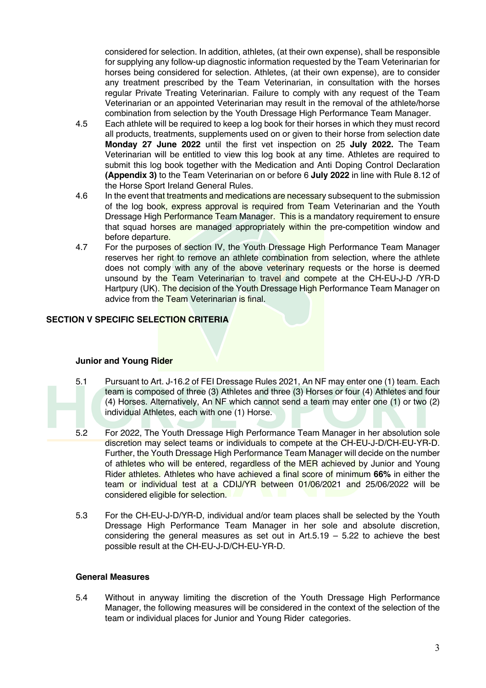considered for selection. In addition, athletes, (at their own expense), shall be responsible for supplying any follow-up diagnostic information requested by the Team Veterinarian for horses being considered for selection. Athletes, (at their own expense), are to consider any treatment prescribed by the Team Veterinarian, in consultation with the horses regular Private Treating Veterinarian. Failure to comply with any request of the Team Veterinarian or an appointed Veterinarian may result in the removal of the athlete/horse combination from selection by the Youth Dressage High Performance Team Manager.

- 4.5 Each athlete will be required to keep a log book for their horses in which they must record all products, treatments, supplements used on or given to their horse from selection date **Monday 27 June 2022** until the first vet inspection on 25 **July 2022.** The Team Veterinarian will be entitled to view this log book at any time. Athletes are required to submit this log book together with the Medication and Anti Doping Control Declaration **(Appendix 3)** to the Team Veterinarian on or before 6 **July 2022** in line with Rule 8.12 of the Horse Sport Ireland General Rules.
- 4.6 In the event that treatments and medications are necessary subsequent to the submission of the log book, express approval is required from Team Veterinarian and the Youth Dressage High Performance Team Manager. This is a mandatory requirement to ensure that squad horses are managed appropriately within the pre-competition window and before departure.
- 4.7 For the purposes of section IV, the Youth Dressage High Performance Team Manager reserves her right to remove an athlete combination from selection, where the athlete does not comply with any of the above veterinary requests or the horse is deemed unsound by the Team Veterinarian to travel and compete at the CH-EU-J-D /YR-D Hartpury (UK). The decision of the Youth Dressage High Performance Team Manager on advice from the Team Veterinarian is final.

# **SECTION V SPECIFIC SELECTION CRITERIA**

# **Junior and Young Rider**

- 5.1 Pursuant to Art. J-16.2 of FEI Dressage Rules 2021, An NF may enter one (1) team. Each team is composed of three (3) Athletes and three (3) Horses or four (4) Athletes and four (4) Horses. Alternatively, An NF which cannot send a team may enter one (1) or two (2) individual Athletes, each with one (1) Horse.
- 5.2 For 2022, The Youth Dressage High Performance Team Manager in her absolution sole discretion may select teams or individuals to compete at the CH-EU-J-D/CH-EU-YR-D. Further, the Youth Dressage High Performance Team Manager will decide on the number of athletes who will be entered, regardless of the MER achieved by Junior and Young Rider athletes. Athletes who have achieved a final score of minimum **66%** in either the team or individual test at a CDIJ/YR between 01/06/2021 and 25/06/2022 will be considered eligible for selection.
- 5.3 For the CH-EU-J-D/YR-D, individual and/or team places shall be selected by the Youth Dressage High Performance Team Manager in her sole and absolute discretion, considering the general measures as set out in  $Art.5.19 - 5.22$  to achieve the best possible result at the CH-EU-J-D/CH-EU-YR-D.

### **General Measures**

5.4 Without in anyway limiting the discretion of the Youth Dressage High Performance Manager, the following measures will be considered in the context of the selection of the team or individual places for Junior and Young Rider categories.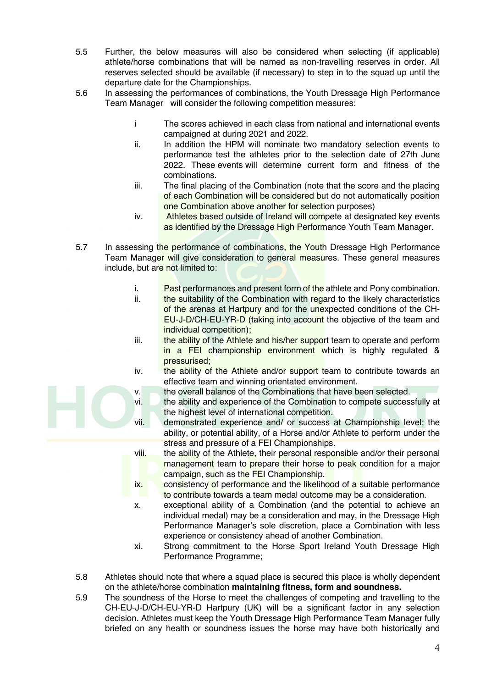- 5.5 Further, the below measures will also be considered when selecting (if applicable) athlete/horse combinations that will be named as non-travelling reserves in order. All reserves selected should be available (if necessary) to step in to the squad up until the departure date for the Championships.
- 5.6 In assessing the performances of combinations, the Youth Dressage High Performance Team Manager will consider the following competition measures:
	- i The scores achieved in each class from national and international events campaigned at during 2021 and 2022.
	- ii. In addition the HPM will nominate two mandatory selection events to performance test the athletes prior to the selection date of 27th June 2022. These events will determine current form and fitness of the combinations.
	- iii. The final placing of the Combination (note that the score and the placing of each Combination will be considered but do not automatically position one Combination above another for selection purposes)
	- iv. Athletes based outside of Ireland will compete at designated key events as identified by the Dressage High Performance Youth Team Manager.
- 5.7 In assessing the performance of combinations, the Youth Dressage High Performance Team Manager will give consideration to general measures. These general measures include, but are not limited to:
	- i. Past performances and present form of the athlete and Pony combination.
	- ii. the suitability of the Combination with regard to the likely characteristics of the arenas at Hartpury and for the unexpected conditions of the CH-EU-J-D/CH-EU-YR-D (taking into account the objective of the team and individual competition);
	- iii. **the ability of the Athlete and his/her support team to operate and perform** in a FEI championship environment which is highly regulated & pressurised;
	- iv. the ability of the Athlete and/or support team to contribute towards an effective team and winning orientated environment.
	- v. the overall balance of the Combinations that have been selected.
	- vi. the ability and experience of the Combination to compete successfully at the highest level of international competition.
	- vii. demonstrated experience and/ or success at Championship level; the ability, or potential ability, of a Horse and/or Athlete to perform under the stress and pressure of a FEI Championships.
	- viii. the ability of the Athlete, their personal responsible and/or their personal management team to prepare their horse to peak condition for a major campaign, such as the FEI Championship.
	- ix. consistency of performance and the likelihood of a suitable performance to contribute towards a team medal outcome may be a consideration.
	- x. exceptional ability of a Combination (and the potential to achieve an individual medal) may be a consideration and may, in the Dressage High Performance Manager's sole discretion, place a Combination with less experience or consistency ahead of another Combination.
	- xi. Strong commitment to the Horse Sport Ireland Youth Dressage High Performance Programme;
- 5.8 Athletes should note that where a squad place is secured this place is wholly dependent on the athlete/horse combination **maintaining fitness, form and soundness.**
- 5.9 The soundness of the Horse to meet the challenges of competing and travelling to the CH-EU-J-D/CH-EU-YR-D Hartpury (UK) will be a significant factor in any selection decision. Athletes must keep the Youth Dressage High Performance Team Manager fully briefed on any health or soundness issues the horse may have both historically and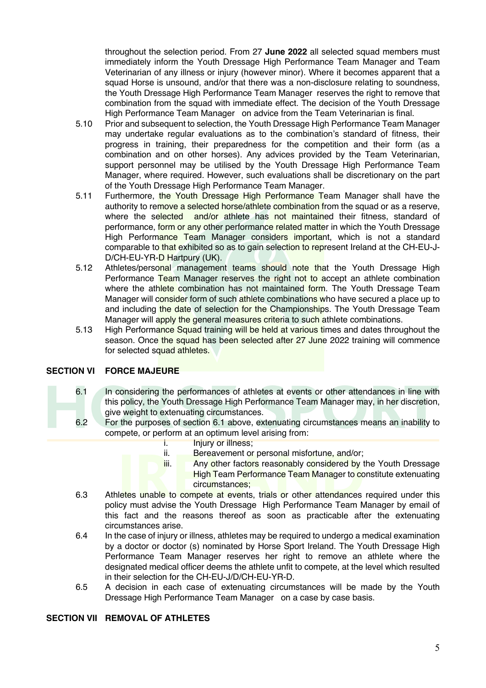throughout the selection period. From 27 **June 2022** all selected squad members must immediately inform the Youth Dressage High Performance Team Manager and Team Veterinarian of any illness or injury (however minor). Where it becomes apparent that a squad Horse is unsound, and/or that there was a non-disclosure relating to soundness, the Youth Dressage High Performance Team Manager reserves the right to remove that combination from the squad with immediate effect. The decision of the Youth Dressage High Performance Team Manager on advice from the Team Veterinarian is final.

- 5.10 Prior and subsequent to selection, the Youth Dressage High Performance Team Manager may undertake regular evaluations as to the combination's standard of fitness, their progress in training, their preparedness for the competition and their form (as a combination and on other horses). Any advices provided by the Team Veterinarian, support personnel may be utilised by the Youth Dressage High Performance Team Manager, where required. However, such evaluations shall be discretionary on the part of the Youth Dressage High Performance Team Manager.
- 5.11 Furthermore, the Youth Dressage High Performance Team Manager shall have the authority to remove a selected horse/athlete combination from the squad or as a reserve, where the selected and/or athlete has not maintained their fitness, standard of performance, form or any other performance related matter in which the Youth Dressage High Performance Team Manager considers important, which is not a standard comparable to that exhibited so as to gain selection to represent Ireland at the CH-EU-J-D/CH-EU-YR-D Hartpury (UK).
- 5.12 Athletes/personal management teams should note that the Youth Dressage High Performance Team Manager reserves the right not to accept an athlete combination where the athlete combination has not maintained form. The Youth Dressage Team Manager will consider form of such athlete combinations who have secured a place up to and including the date of selection for the Championships. The Youth Dressage Team Manager will apply the general measures criteria to such athlete combinations.
- 5.13 High Performance Squad training will be held at various times and dates throughout the season. Once the squad has been selected after 27 June 2022 training will commence for selected squad athletes.

# **SECTION VI FORCE MAJEURE**

- 6.1 In considering the performances of athletes at events or other attendances in line with this policy, the Youth Dressage High Performance Team Manager may, in her discretion, give weight to extenuating circumstances.
- 6.2 For the purposes of section 6.1 above, extenuating circumstances means an inability to compete, or perform at an optimum level arising from:
	- i. **Injury or illness**;
	- ii. Bereavement or personal misfortune, and/or;
	- iii. Any other factors reasonably considered by the Youth Dressage **High Team Performance Team Manager to constitute extenuating** circumstances;
- 6.3 Athletes unable to compete at events, trials or other attendances required under this policy must advise the Youth Dressage High Performance Team Manager by email of this fact and the reasons thereof as soon as practicable after the extenuating circumstances arise.
- 6.4 In the case of injury or illness, athletes may be required to undergo a medical examination by a doctor or doctor (s) nominated by Horse Sport Ireland. The Youth Dressage High Performance Team Manager reserves her right to remove an athlete where the designated medical officer deems the athlete unfit to compete, at the level which resulted in their selection for the CH-EU-J/D/CH-EU-YR-D.
- 6.5 A decision in each case of extenuating circumstances will be made by the Youth Dressage High Performance Team Manager on a case by case basis.

### **SECTION VII REMOVAL OF ATHLETES**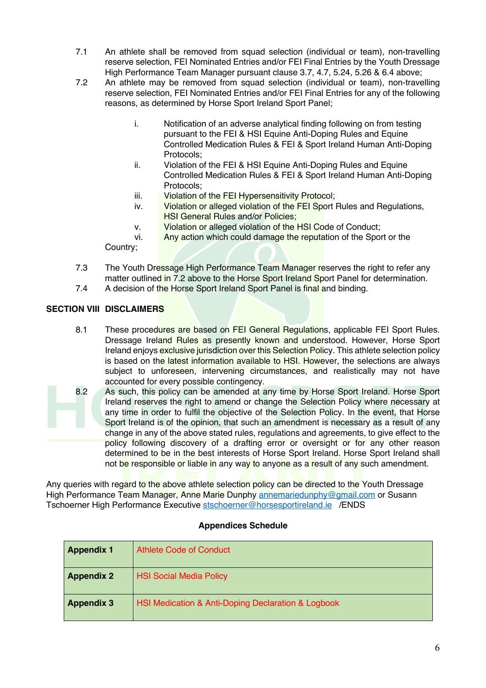- 7.1 An athlete shall be removed from squad selection (individual or team), non-travelling reserve selection, FEI Nominated Entries and/or FEI Final Entries by the Youth Dressage High Performance Team Manager pursuant clause 3.7, 4.7, 5.24, 5.26 & 6.4 above;
- 7.2 An athlete may be removed from squad selection (individual or team), non-travelling reserve selection, FEI Nominated Entries and/or FEI Final Entries for any of the following reasons, as determined by Horse Sport Ireland Sport Panel;
	- i. Notification of an adverse analytical finding following on from testing pursuant to the FEI & HSI Equine Anti-Doping Rules and Equine Controlled Medication Rules & FEI & Sport Ireland Human Anti-Doping Protocols;
	- ii. Violation of the FEI & HSI Equine Anti-Doping Rules and Equine Controlled Medication Rules & FEI & Sport Ireland Human Anti-Doping Protocols;
	- iii. Violation of the FEI Hypersensitivity Protocol;
	- iv. Violation or alleged violation of the FEI Sport Rules and Regulations, HSI General Rules and/or Policies;
	- v. Violation or alleged violation of the HSI Code of Conduct;

vi. Any action which could damage the reputation of the Sport or the

Country;

- 7.3 The Youth Dressage High Performance Team Manager reserves the right to refer any matter outlined in 7.2 above to the Horse Sport Ireland Sport Panel for determination.
- 7.4 A decision of the Horse Sport Ireland Sport Panel is final and binding.

# **SECTION VIII DISCLAIMERS**

- 8.1 These procedures are based on FEI General Regulations, applicable FEI Sport Rules. Dressage Ireland Rules as presently known and understood. However, Horse Sport Ireland enjoys exclusive jurisdiction over this Selection Policy. This athlete selection policy is based on the latest information available to HSI. However, the selections are always subject to unforeseen, intervening circumstances, and realistically may not have accounted for every possible contingency.
- 8.2 As such, this policy can be amended at any time by Horse Sport Ireland. Horse Sport Ireland reserves the right to amend or change the Selection Policy where necessary at any time in order to fulfil the objective of the Selection Policy. In the event, that Horse Sport Ireland is of the opinion, that such an amendment is necessary as a result of any change in any of the above stated rules, regulations and agreements, to give effect to the policy following discovery of a drafting error or oversight or for any other reason determined to be in the best interests of Horse Sport Ireland. Horse Sport Ireland shall not be responsible or liable in any way to anyone as a result of any such amendment.

Any queries with regard to the above athlete selection policy can be directed to the Youth Dressage High Performance Team Manager, Anne Marie Dunphy annemariedunphy@gmail.com or Susann Tschoerner High Performance Executive stschoerner@horsesportireland.ie /ENDS

### **Appendices Schedule**

| <b>Appendix 1</b> | Athlete Code of Conduct                            |
|-------------------|----------------------------------------------------|
| <b>Appendix 2</b> | <b>HSI Social Media Policy</b>                     |
| <b>Appendix 3</b> | HSI Medication & Anti-Doping Declaration & Logbook |